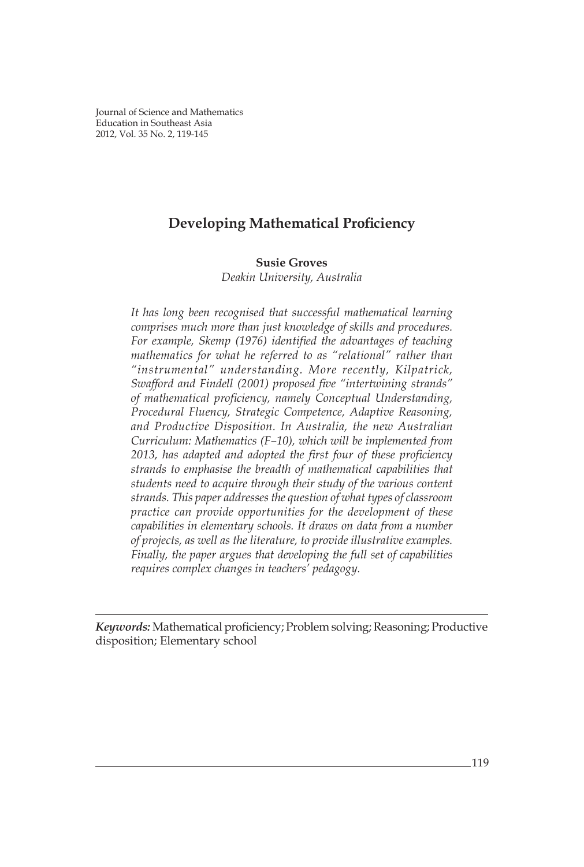*Susie Groves* Journal of Science and Mathematics Education in Southeast Asia 2012, Vol. 35 No. 2, 119-145

# **Developing Mathematical Proficiency**

## **Susie Groves**

*Deakin University, Australia*

*It has long been recognised that successful mathematical learning comprises much more than just knowledge of skills and procedures. For example, Skemp (1976) identified the advantages of teaching mathematics for what he referred to as "relational" rather than "instrumental" understanding. More recently, Kilpatrick, Swafford and Findell (2001) proposed five "intertwining strands" of mathematical proficiency, namely Conceptual Understanding, Procedural Fluency, Strategic Competence, Adaptive Reasoning, and Productive Disposition. In Australia, the new Australian Curriculum: Mathematics (F–10), which will be implemented from 2013, has adapted and adopted the first four of these proficiency strands to emphasise the breadth of mathematical capabilities that students need to acquire through their study of the various content strands. This paper addresses the question of what types of classroom practice can provide opportunities for the development of these capabilities in elementary schools. It draws on data from a number of projects, as well as the literature, to provide illustrative examples. Finally, the paper argues that developing the full set of capabilities requires complex changes in teachers' pedagogy.*

*Keywords:* Mathematical proficiency; Problem solving; Reasoning; Productive disposition; Elementary school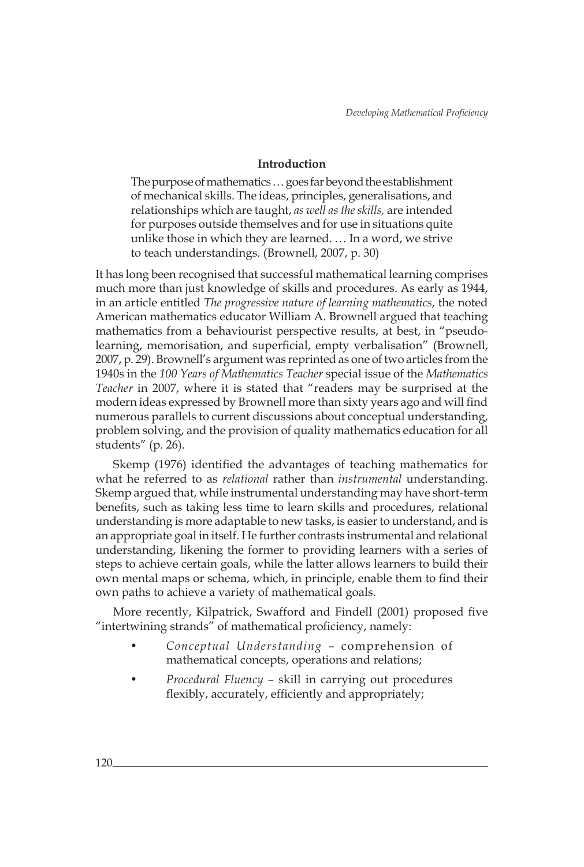# **Introduction**

The purpose of mathematics … goes far beyond the establishment of mechanical skills. The ideas, principles, generalisations, and relationships which are taught, *as well as the skills,* are intended for purposes outside themselves and for use in situations quite unlike those in which they are learned. … In a word, we strive to teach understandings. (Brownell, 2007, p. 30)

It has long been recognised that successful mathematical learning comprises much more than just knowledge of skills and procedures. As early as 1944, in an article entitled *The progressive nature of learning mathematics*, the noted American mathematics educator William A. Brownell argued that teaching mathematics from a behaviourist perspective results, at best, in "pseudolearning, memorisation, and superficial, empty verbalisation" (Brownell, 2007, p. 29). Brownell's argument was reprinted as one of two articles from the 1940s in the *100 Years of Mathematics Teacher* special issue of the *Mathematics Teacher* in 2007, where it is stated that "readers may be surprised at the modern ideas expressed by Brownell more than sixty years ago and will find numerous parallels to current discussions about conceptual understanding, problem solving, and the provision of quality mathematics education for all students" (p. 26).

Skemp (1976) identified the advantages of teaching mathematics for what he referred to as *relational* rather than *instrumental* understanding. Skemp argued that, while instrumental understanding may have short-term benefits, such as taking less time to learn skills and procedures, relational understanding is more adaptable to new tasks, is easier to understand, and is an appropriate goal in itself. He further contrasts instrumental and relational understanding, likening the former to providing learners with a series of steps to achieve certain goals, while the latter allows learners to build their own mental maps or schema, which, in principle, enable them to find their own paths to achieve a variety of mathematical goals.

More recently, Kilpatrick, Swafford and Findell (2001) proposed five "intertwining strands" of mathematical proficiency, namely:

- *• Conceptual Understanding*  comprehension of mathematical concepts, operations and relations;
- *• Procedural Fluency* skill in carrying out procedures flexibly, accurately, efficiently and appropriately;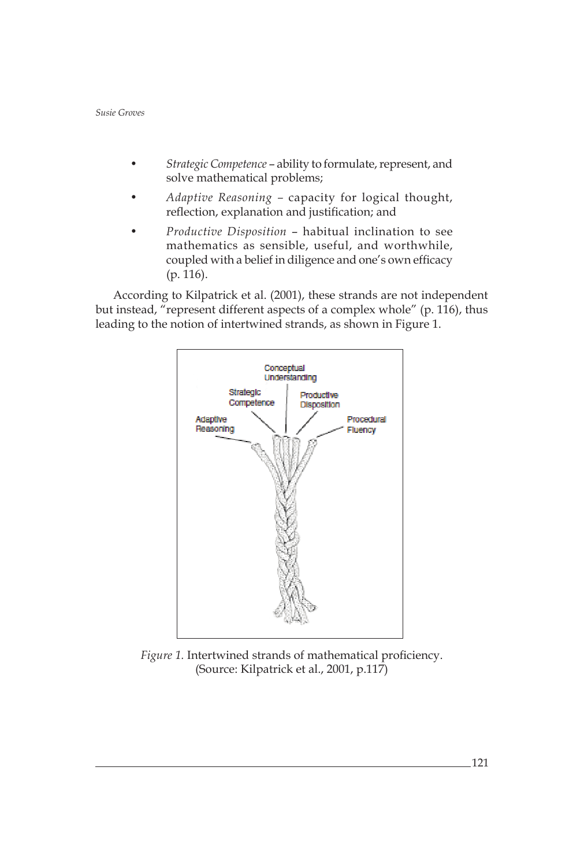- *• Strategic Competence*  ability to formulate, represent, and solve mathematical problems;
- *• Adaptive Reasoning* capacity for logical thought, reflection, explanation and justification; and
- *• Productive Disposition*  habitual inclination to see mathematics as sensible, useful, and worthwhile, coupled with a belief in diligence and one's own efficacy (p. 116).

According to Kilpatrick et al. (2001), these strands are not independent but instead, "represent different aspects of a complex whole" (p. 116), thus leading to the notion of intertwined strands, as shown in Figure 1.



*Figure 1.* Intertwined strands of mathematical proficiency. (Source: Kilpatrick et al., 2001, p.117)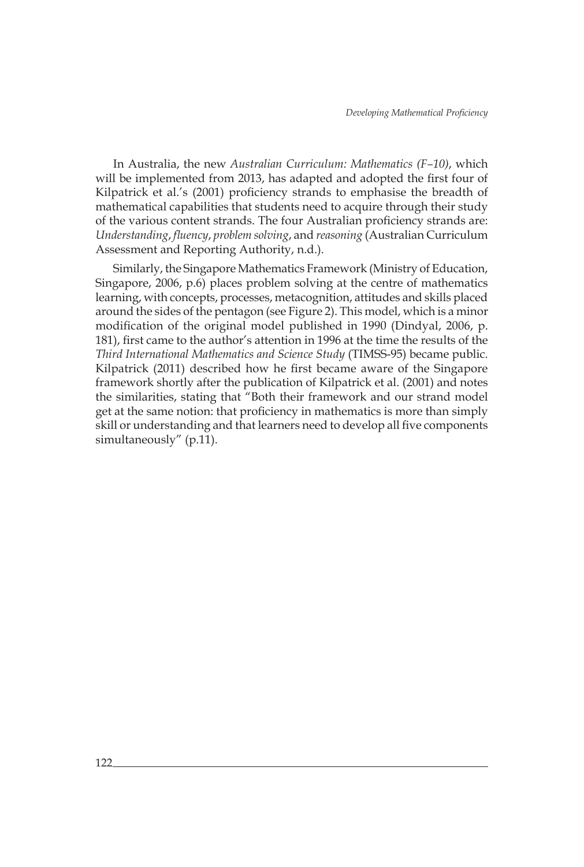In Australia, the new *Australian Curriculum: Mathematics (F–10)*, which will be implemented from 2013, has adapted and adopted the first four of Kilpatrick et al.'s (2001) proficiency strands to emphasise the breadth of mathematical capabilities that students need to acquire through their study of the various content strands. The four Australian proficiency strands are: *Understanding*, *fluency*, *problem solving*, and *reasoning* (Australian Curriculum Assessment and Reporting Authority, n.d.).

Similarly, the Singapore Mathematics Framework (Ministry of Education, Singapore, 2006, p.6) places problem solving at the centre of mathematics learning, with concepts, processes, metacognition, attitudes and skills placed around the sides of the pentagon (see Figure 2). This model, which is a minor modification of the original model published in 1990 (Dindyal, 2006, p. 181), first came to the author's attention in 1996 at the time the results of the *Third International Mathematics and Science Study* (TIMSS-95) became public. Kilpatrick (2011) described how he first became aware of the Singapore framework shortly after the publication of Kilpatrick et al. (2001) and notes the similarities, stating that "Both their framework and our strand model get at the same notion: that proficiency in mathematics is more than simply skill or understanding and that learners need to develop all five components simultaneously" (p.11).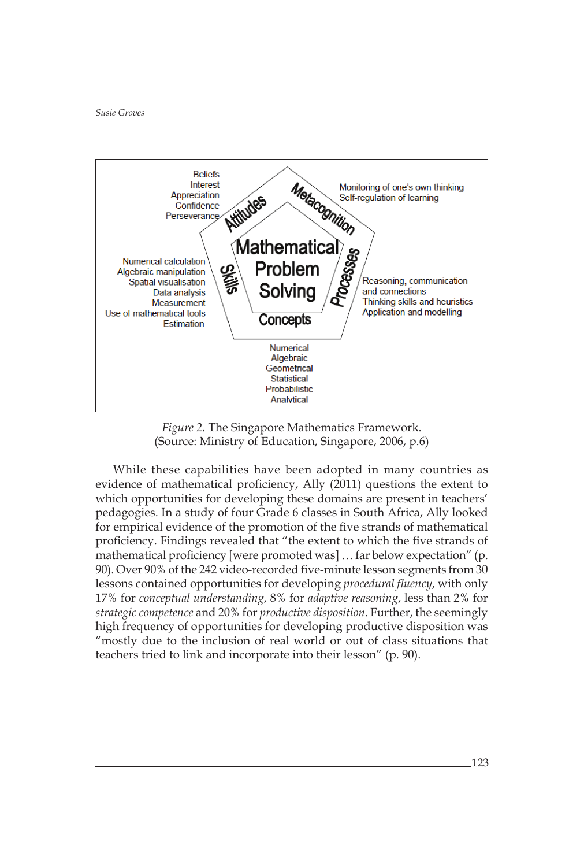

*Figure 2.* The Singapore Mathematics Framework. (Source: Ministry of Education, Singapore, 2006, p.6)

While these capabilities have been adopted in many countries as evidence of mathematical proficiency, Ally (2011) questions the extent to which opportunities for developing these domains are present in teachers' pedagogies. In a study of four Grade 6 classes in South Africa, Ally looked for empirical evidence of the promotion of the five strands of mathematical proficiency. Findings revealed that "the extent to which the five strands of mathematical proficiency [were promoted was] … far below expectation" (p. 90). Over 90% of the 242 video-recorded five-minute lesson segments from 30 lessons contained opportunities for developing *procedural fluency*, with only 17% for *conceptual understanding*, 8% for *adaptive reasoning*, less than 2% for *strategic competence* and 20% for *productive disposition*. Further, the seemingly high frequency of opportunities for developing productive disposition was "mostly due to the inclusion of real world or out of class situations that teachers tried to link and incorporate into their lesson" (p. 90).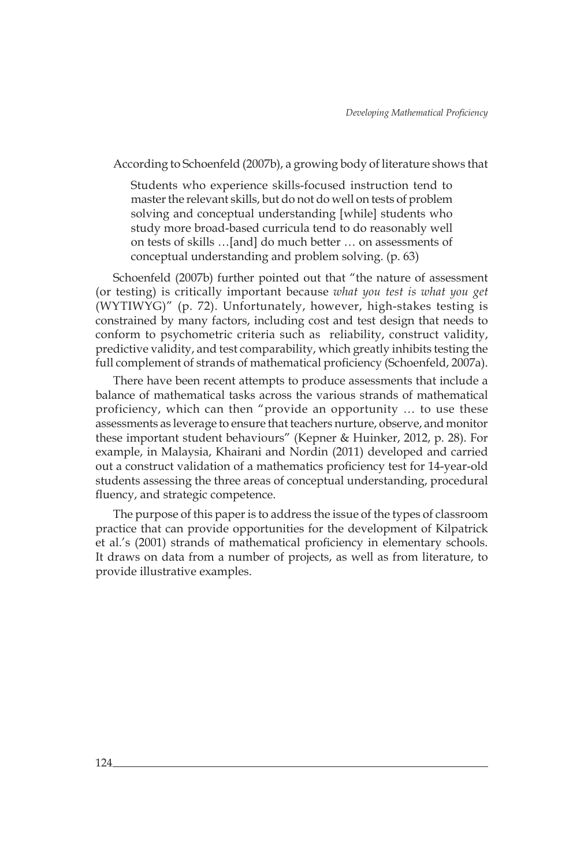According to Schoenfeld (2007b), a growing body of literature shows that

Students who experience skills-focused instruction tend to master the relevant skills, but do not do well on tests of problem solving and conceptual understanding [while] students who study more broad-based curricula tend to do reasonably well on tests of skills …[and] do much better … on assessments of conceptual understanding and problem solving. (p. 63)

Schoenfeld (2007b) further pointed out that "the nature of assessment (or testing) is critically important because *what you test is what you get* (WYTIWYG)" (p. 72). Unfortunately, however, high-stakes testing is constrained by many factors, including cost and test design that needs to conform to psychometric criteria such as reliability, construct validity, predictive validity, and test comparability, which greatly inhibits testing the full complement of strands of mathematical proficiency (Schoenfeld, 2007a).

There have been recent attempts to produce assessments that include a balance of mathematical tasks across the various strands of mathematical proficiency, which can then "provide an opportunity … to use these assessments as leverage to ensure that teachers nurture, observe, and monitor these important student behaviours" (Kepner & Huinker, 2012, p. 28). For example, in Malaysia, Khairani and Nordin (2011) developed and carried out a construct validation of a mathematics proficiency test for 14-year-old students assessing the three areas of conceptual understanding, procedural fluency, and strategic competence.

The purpose of this paper is to address the issue of the types of classroom practice that can provide opportunities for the development of Kilpatrick et al.'s (2001) strands of mathematical proficiency in elementary schools. It draws on data from a number of projects, as well as from literature, to provide illustrative examples.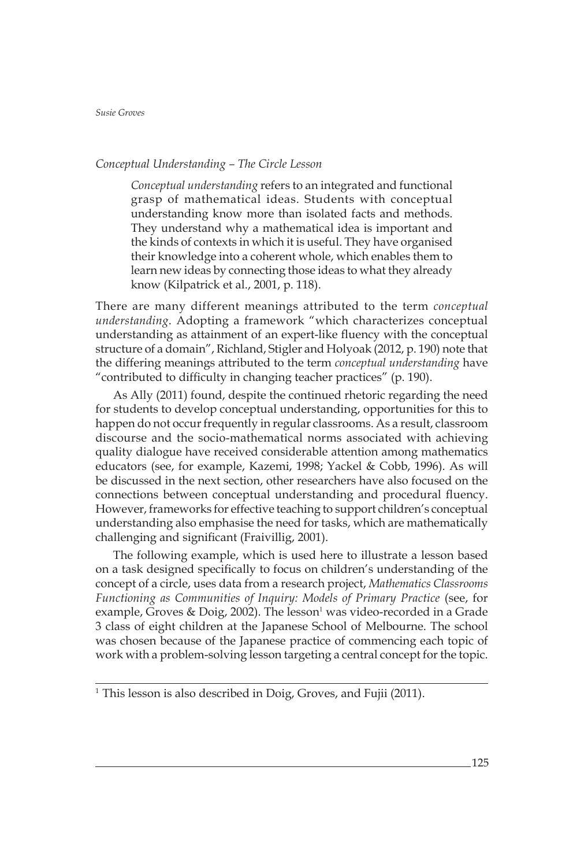## *Conceptual Understanding – The Circle Lesson*

*Conceptual understanding* refers to an integrated and functional grasp of mathematical ideas. Students with conceptual understanding know more than isolated facts and methods. They understand why a mathematical idea is important and the kinds of contexts in which it is useful. They have organised their knowledge into a coherent whole, which enables them to learn new ideas by connecting those ideas to what they already know (Kilpatrick et al., 2001, p. 118).

There are many different meanings attributed to the term *conceptual understanding*. Adopting a framework "which characterizes conceptual understanding as attainment of an expert-like fluency with the conceptual structure of a domain", Richland, Stigler and Holyoak (2012, p. 190) note that the differing meanings attributed to the term *conceptual understanding* have "contributed to difficulty in changing teacher practices" (p. 190).

As Ally (2011) found, despite the continued rhetoric regarding the need for students to develop conceptual understanding, opportunities for this to happen do not occur frequently in regular classrooms. As a result, classroom discourse and the socio-mathematical norms associated with achieving quality dialogue have received considerable attention among mathematics educators (see, for example, Kazemi, 1998; Yackel & Cobb, 1996). As will be discussed in the next section, other researchers have also focused on the connections between conceptual understanding and procedural fluency. However, frameworks for effective teaching to support children's conceptual understanding also emphasise the need for tasks, which are mathematically challenging and significant (Fraivillig, 2001).

The following example, which is used here to illustrate a lesson based on a task designed specifically to focus on children's understanding of the concept of a circle, uses data from a research project, *Mathematics Classrooms Functioning as Communities of Inquiry: Models of Primary Practice* (see, for example, Groves & Doig, 2002). The lesson<sup>1</sup> was video-recorded in a Grade 3 class of eight children at the Japanese School of Melbourne. The school was chosen because of the Japanese practice of commencing each topic of work with a problem-solving lesson targeting a central concept for the topic.

 $1$  This lesson is also described in Doig, Groves, and Fujii (2011).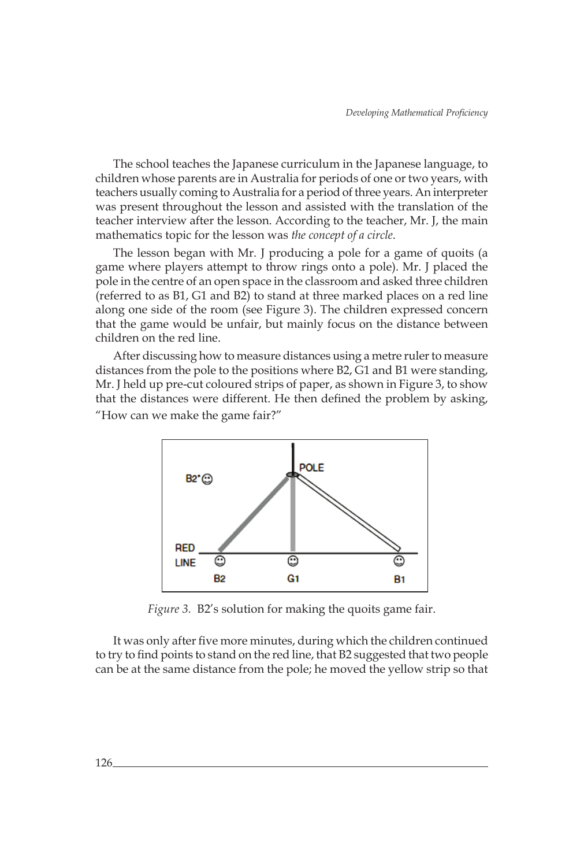The school teaches the Japanese curriculum in the Japanese language, to children whose parents are in Australia for periods of one or two years, with teachers usually coming to Australia for a period of three years. An interpreter was present throughout the lesson and assisted with the translation of the teacher interview after the lesson. According to the teacher, Mr. J, the main mathematics topic for the lesson was *the concept of a circle*.

The lesson began with Mr. J producing a pole for a game of quoits (a game where players attempt to throw rings onto a pole). Mr. J placed the pole in the centre of an open space in the classroom and asked three children (referred to as B1, G1 and B2) to stand at three marked places on a red line along one side of the room (see Figure 3). The children expressed concern that the game would be unfair, but mainly focus on the distance between children on the red line.

After discussing how to measure distances using a metre ruler to measure distances from the pole to the positions where B2, G1 and B1 were standing, Mr. J held up pre-cut coloured strips of paper, as shown in Figure 3, to show that the distances were different. He then defined the problem by asking, "How can we make the game fair?"



*Figure 3.* B2's solution for making the quoits game fair.

It was only after five more minutes, during which the children continued to try to find points to stand on the red line, that B2 suggested that two people can be at the same distance from the pole; he moved the yellow strip so that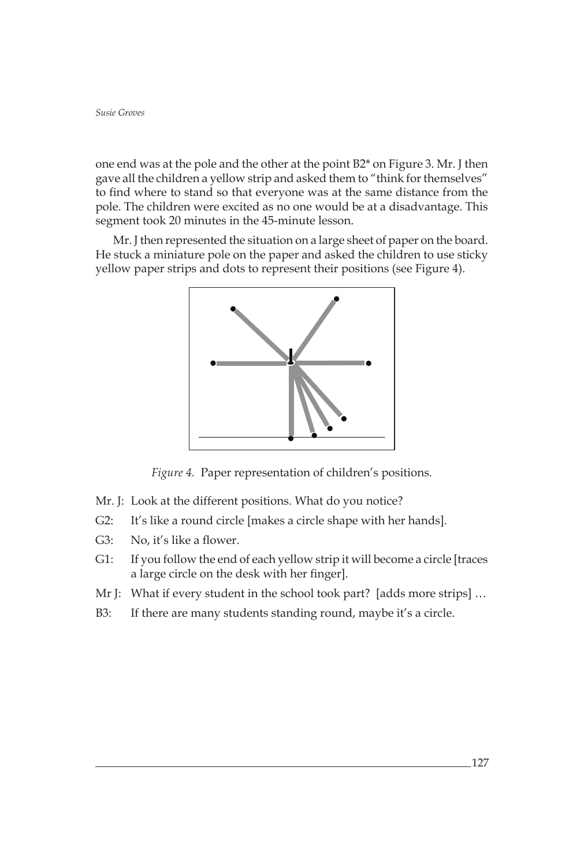one end was at the pole and the other at the point B2\* on Figure 3. Mr. J then gave all the children a yellow strip and asked them to "think for themselves" to find where to stand so that everyone was at the same distance from the pole. The children were excited as no one would be at a disadvantage. This segment took 20 minutes in the 45-minute lesson.

Mr. J then represented the situation on a large sheet of paper on the board. He stuck a miniature pole on the paper and asked the children to use sticky yellow paper strips and dots to represent their positions (see Figure 4).



*Figure 4.* Paper representation of children's positions.

- Mr. J: Look at the different positions. What do you notice?
- G2: It's like a round circle [makes a circle shape with her hands].
- G3: No, it's like a flower.
- G1: If you follow the end of each yellow strip it will become a circle [traces a large circle on the desk with her finger].
- Mr J: What if every student in the school took part? [adds more strips] ...
- B3: If there are many students standing round, maybe it's a circle.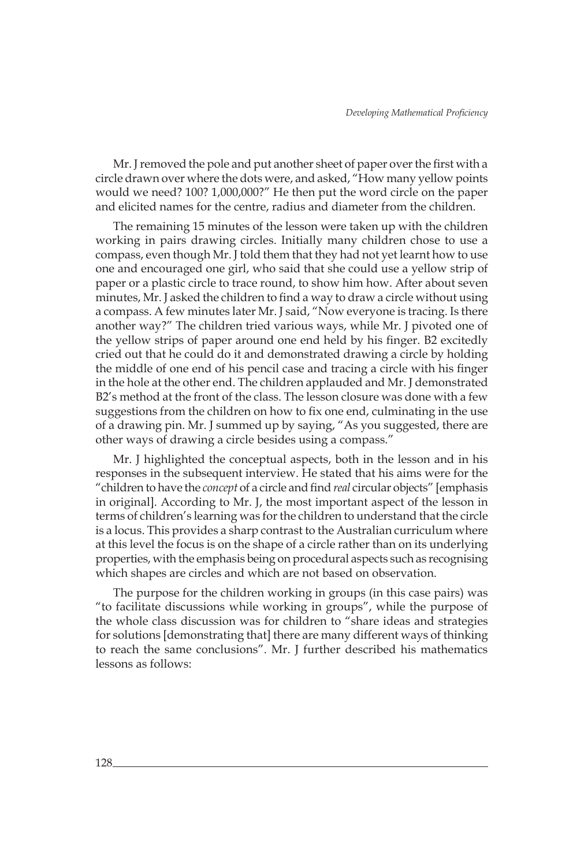Mr. J removed the pole and put another sheet of paper over the first with a circle drawn over where the dots were, and asked, "How many yellow points would we need? 100? 1,000,000?" He then put the word circle on the paper and elicited names for the centre, radius and diameter from the children.

The remaining 15 minutes of the lesson were taken up with the children working in pairs drawing circles. Initially many children chose to use a compass, even though Mr. J told them that they had not yet learnt how to use one and encouraged one girl, who said that she could use a yellow strip of paper or a plastic circle to trace round, to show him how. After about seven minutes, Mr. J asked the children to find a way to draw a circle without using a compass. A few minutes later Mr. J said, "Now everyone is tracing. Is there another way?" The children tried various ways, while Mr. J pivoted one of the yellow strips of paper around one end held by his finger. B2 excitedly cried out that he could do it and demonstrated drawing a circle by holding the middle of one end of his pencil case and tracing a circle with his finger in the hole at the other end. The children applauded and Mr. J demonstrated B2's method at the front of the class. The lesson closure was done with a few suggestions from the children on how to fix one end, culminating in the use of a drawing pin. Mr. J summed up by saying, "As you suggested, there are other ways of drawing a circle besides using a compass."

Mr. J highlighted the conceptual aspects, both in the lesson and in his responses in the subsequent interview. He stated that his aims were for the "children to have the *concept* of a circle and find *real* circular objects" [emphasis in original]. According to Mr. J, the most important aspect of the lesson in terms of children's learning was for the children to understand that the circle is a locus. This provides a sharp contrast to the Australian curriculum where at this level the focus is on the shape of a circle rather than on its underlying properties, with the emphasis being on procedural aspects such as recognising which shapes are circles and which are not based on observation.

The purpose for the children working in groups (in this case pairs) was "to facilitate discussions while working in groups", while the purpose of the whole class discussion was for children to "share ideas and strategies for solutions [demonstrating that] there are many different ways of thinking to reach the same conclusions". Mr. J further described his mathematics lessons as follows: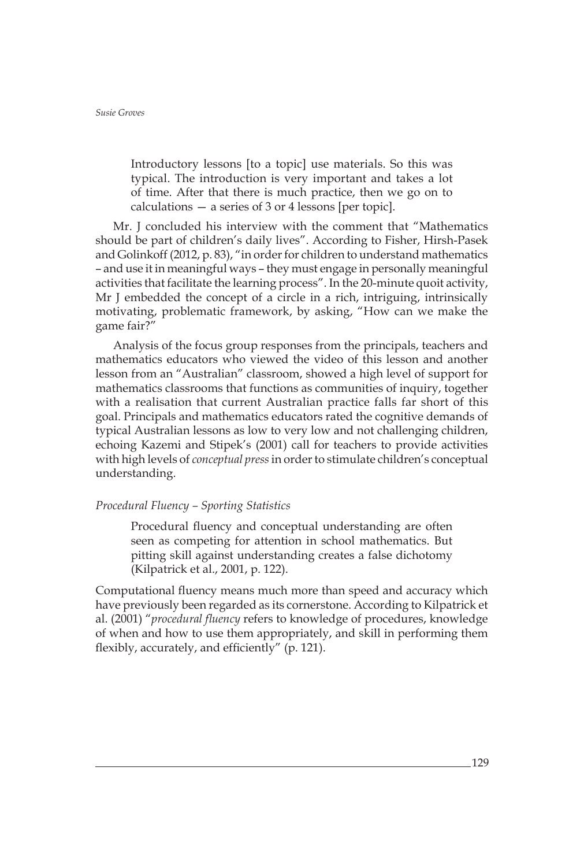Introductory lessons [to a topic] use materials. So this was typical. The introduction is very important and takes a lot of time. After that there is much practice, then we go on to calculations — a series of 3 or 4 lessons [per topic].

Mr. J concluded his interview with the comment that "Mathematics should be part of children's daily lives". According to Fisher, Hirsh-Pasek and Golinkoff (2012, p. 83), "in order for children to understand mathematics – and use it in meaningful ways – they must engage in personally meaningful activities that facilitate the learning process". In the 20-minute quoit activity, Mr J embedded the concept of a circle in a rich, intriguing, intrinsically motivating, problematic framework, by asking, "How can we make the game fair?"

Analysis of the focus group responses from the principals, teachers and mathematics educators who viewed the video of this lesson and another lesson from an "Australian" classroom, showed a high level of support for mathematics classrooms that functions as communities of inquiry, together with a realisation that current Australian practice falls far short of this goal. Principals and mathematics educators rated the cognitive demands of typical Australian lessons as low to very low and not challenging children, echoing Kazemi and Stipek's (2001) call for teachers to provide activities with high levels of *conceptual press* in order to stimulate children's conceptual understanding.

# *Procedural Fluency – Sporting Statistics*

Procedural fluency and conceptual understanding are often seen as competing for attention in school mathematics. But pitting skill against understanding creates a false dichotomy (Kilpatrick et al., 2001, p. 122).

Computational fluency means much more than speed and accuracy which have previously been regarded as its cornerstone. According to Kilpatrick et al. (2001) "*procedural fluency* refers to knowledge of procedures, knowledge of when and how to use them appropriately, and skill in performing them flexibly, accurately, and efficiently" (p. 121).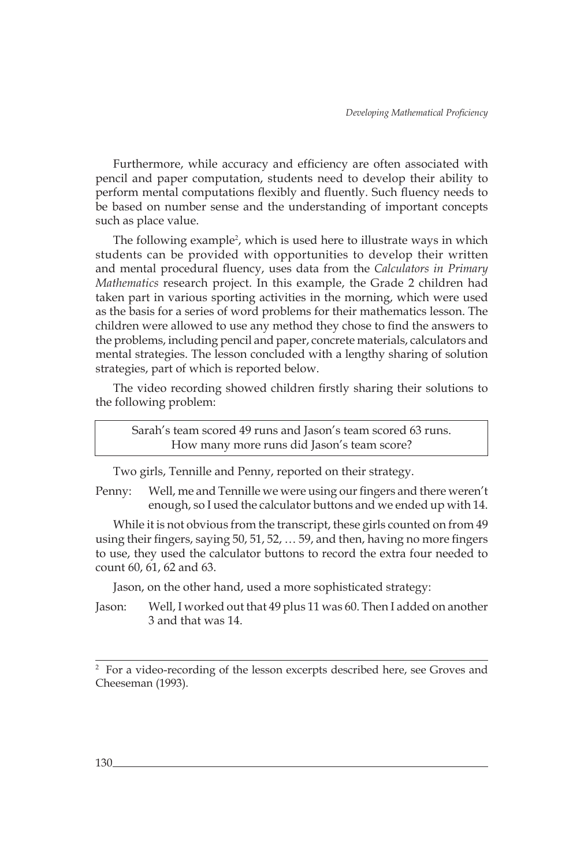Furthermore, while accuracy and efficiency are often associated with pencil and paper computation, students need to develop their ability to perform mental computations flexibly and fluently. Such fluency needs to be based on number sense and the understanding of important concepts such as place value.

The following example<sup>2</sup>, which is used here to illustrate ways in which students can be provided with opportunities to develop their written and mental procedural fluency, uses data from the *Calculators in Primary Mathematics* research project. In this example, the Grade 2 children had taken part in various sporting activities in the morning, which were used as the basis for a series of word problems for their mathematics lesson. The children were allowed to use any method they chose to find the answers to the problems, including pencil and paper, concrete materials, calculators and mental strategies. The lesson concluded with a lengthy sharing of solution strategies, part of which is reported below.

The video recording showed children firstly sharing their solutions to the following problem:

Sarah's team scored 49 runs and Jason's team scored 63 runs. How many more runs did Jason's team score?

Two girls, Tennille and Penny, reported on their strategy.

Penny: Well, me and Tennille we were using our fingers and there weren't enough, so I used the calculator buttons and we ended up with 14.

While it is not obvious from the transcript, these girls counted on from 49 using their fingers, saying 50, 51, 52, … 59, and then, having no more fingers to use, they used the calculator buttons to record the extra four needed to count 60, 61, 62 and 63.

Jason, on the other hand, used a more sophisticated strategy:

Jason: Well, I worked out that 49 plus 11 was 60. Then I added on another 3 and that was 14.

<sup>&</sup>lt;sup>2</sup> For a video-recording of the lesson excerpts described here, see Groves and Cheeseman (1993).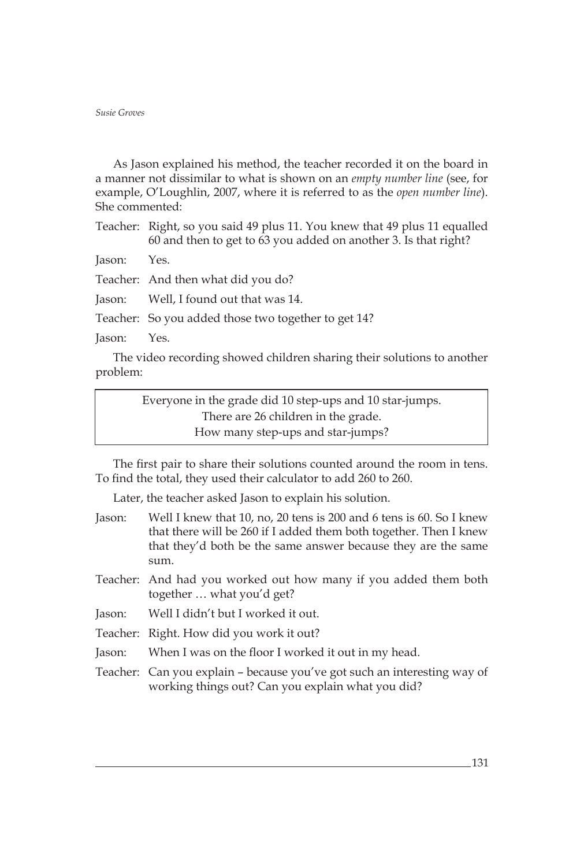As Jason explained his method, the teacher recorded it on the board in a manner not dissimilar to what is shown on an *empty number line* (see, for example, O'Loughlin, 2007, where it is referred to as the *open number line*). She commented:

Teacher: Right, so you said 49 plus 11. You knew that 49 plus 11 equalled 60 and then to get to 63 you added on another 3. Is that right?

Jason: Yes.

Teacher: And then what did you do?

Jason: Well, I found out that was 14.

Teacher: So you added those two together to get 14?

Jason: Yes.

The video recording showed children sharing their solutions to another problem:

> Everyone in the grade did 10 step-ups and 10 star-jumps. There are 26 children in the grade. How many step-ups and star-jumps?

The first pair to share their solutions counted around the room in tens. To find the total, they used their calculator to add 260 to 260.

Later, the teacher asked Jason to explain his solution.

| Jason: | Well I knew that 10, no, 20 tens is 200 and 6 tens is 60. So I knew |
|--------|---------------------------------------------------------------------|
|        | that there will be 260 if I added them both together. Then I knew   |
|        | that they'd both be the same answer because they are the same       |
|        | sum.                                                                |
|        |                                                                     |

- Teacher: And had you worked out how many if you added them both together … what you'd get?
- Jason: Well I didn't but I worked it out.
- Teacher: Right. How did you work it out?
- Jason: When I was on the floor I worked it out in my head.
- Teacher: Can you explain because you've got such an interesting way of working things out? Can you explain what you did?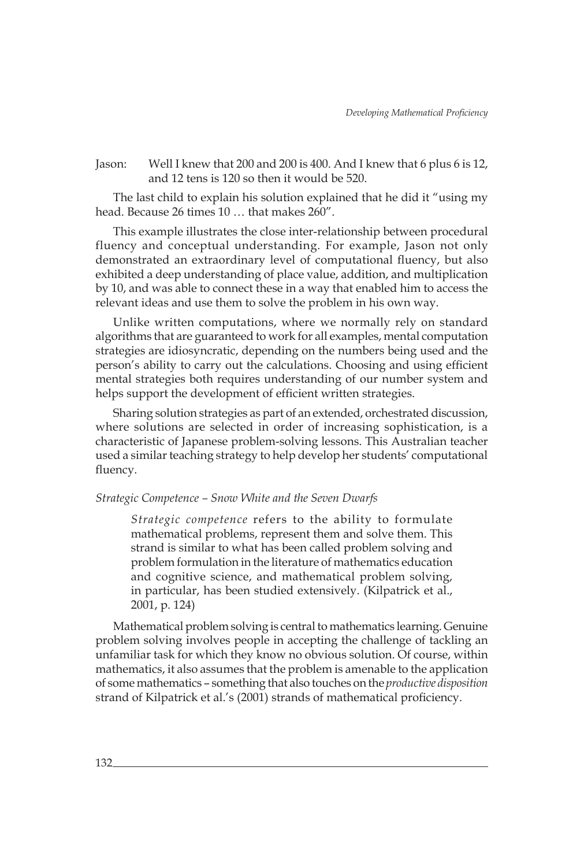Jason: Well I knew that 200 and 200 is 400. And I knew that 6 plus 6 is 12, and 12 tens is 120 so then it would be 520.

The last child to explain his solution explained that he did it "using my head. Because 26 times 10 … that makes 260".

This example illustrates the close inter-relationship between procedural fluency and conceptual understanding. For example, Jason not only demonstrated an extraordinary level of computational fluency, but also exhibited a deep understanding of place value, addition, and multiplication by 10, and was able to connect these in a way that enabled him to access the relevant ideas and use them to solve the problem in his own way.

Unlike written computations, where we normally rely on standard algorithms that are guaranteed to work for all examples, mental computation strategies are idiosyncratic, depending on the numbers being used and the person's ability to carry out the calculations. Choosing and using efficient mental strategies both requires understanding of our number system and helps support the development of efficient written strategies.

Sharing solution strategies as part of an extended, orchestrated discussion, where solutions are selected in order of increasing sophistication, is a characteristic of Japanese problem-solving lessons. This Australian teacher used a similar teaching strategy to help develop her students' computational fluency.

#### *Strategic Competence – Snow White and the Seven Dwarfs*

*Strategic competence* refers to the ability to formulate mathematical problems, represent them and solve them. This strand is similar to what has been called problem solving and problem formulation in the literature of mathematics education and cognitive science, and mathematical problem solving, in particular, has been studied extensively. (Kilpatrick et al., 2001, p. 124)

Mathematical problem solving is central to mathematics learning. Genuine problem solving involves people in accepting the challenge of tackling an unfamiliar task for which they know no obvious solution. Of course, within mathematics, it also assumes that the problem is amenable to the application of some mathematics – something that also touches on the *productive disposition* strand of Kilpatrick et al.'s (2001) strands of mathematical proficiency.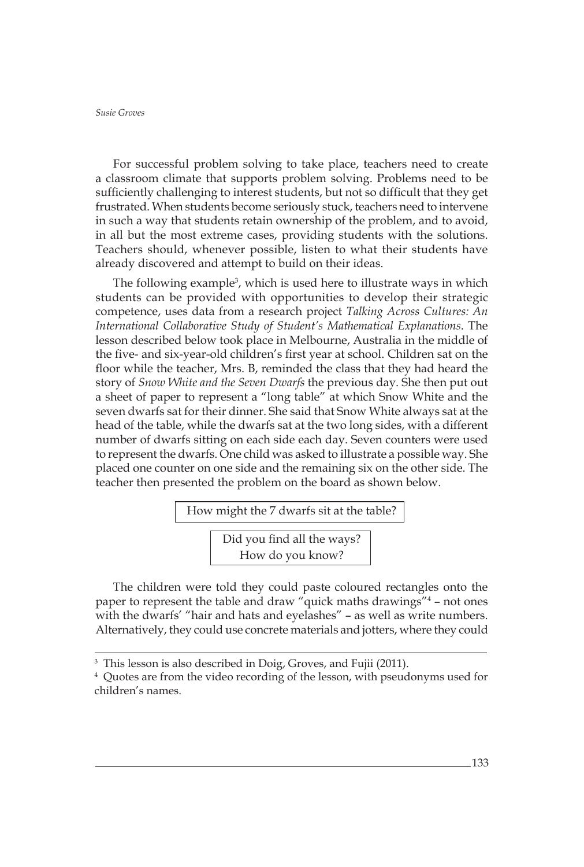For successful problem solving to take place, teachers need to create a classroom climate that supports problem solving. Problems need to be sufficiently challenging to interest students, but not so difficult that they get frustrated. When students become seriously stuck, teachers need to intervene in such a way that students retain ownership of the problem, and to avoid, in all but the most extreme cases, providing students with the solutions. Teachers should, whenever possible, listen to what their students have already discovered and attempt to build on their ideas.

The following example<sup>3</sup>, which is used here to illustrate ways in which students can be provided with opportunities to develop their strategic competence, uses data from a research project *Talking Across Cultures: An International Collaborative Study of Student's Mathematical Explanations*. The lesson described below took place in Melbourne, Australia in the middle of the five- and six-year-old children's first year at school. Children sat on the floor while the teacher, Mrs. B, reminded the class that they had heard the story of *Snow White and the Seven Dwarfs* the previous day. She then put out a sheet of paper to represent a "long table" at which Snow White and the seven dwarfs sat for their dinner. She said that Snow White always sat at the head of the table, while the dwarfs sat at the two long sides, with a different number of dwarfs sitting on each side each day. Seven counters were used to represent the dwarfs. One child was asked to illustrate a possible way. She placed one counter on one side and the remaining six on the other side. The teacher then presented the problem on the board as shown below.

How might the 7 dwarfs sit at the table?

Did you find all the ways? How do you know?

The children were told they could paste coloured rectangles onto the paper to represent the table and draw "quick maths drawings"<sup>4</sup> – not ones with the dwarfs' "hair and hats and eyelashes" – as well as write numbers. Alternatively, they could use concrete materials and jotters, where they could

<sup>3</sup> This lesson is also described in Doig, Groves, and Fujii (2011).

<sup>4</sup> Quotes are from the video recording of the lesson, with pseudonyms used for children's names.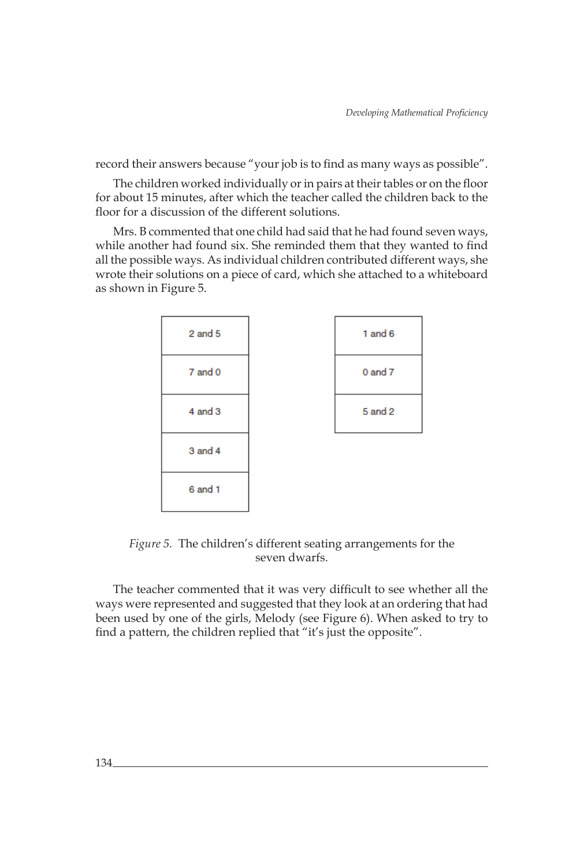record their answers because "your job is to find as many ways as possible".

The children worked individually or in pairs at their tables or on the floor for about 15 minutes, after which the teacher called the children back to the floor for a discussion of the different solutions.

Mrs. B commented that one child had said that he had found seven ways, while another had found six. She reminded them that they wanted to find all the possible ways. As individual children contributed different ways, she wrote their solutions on a piece of card, which she attached to a whiteboard as shown in Figure 5.



*Figure 5.* The children's different seating arrangements for the seven dwarfs.

The teacher commented that it was very difficult to see whether all the ways were represented and suggested that they look at an ordering that had been used by one of the girls, Melody (see Figure 6). When asked to try to find a pattern, the children replied that "it's just the opposite".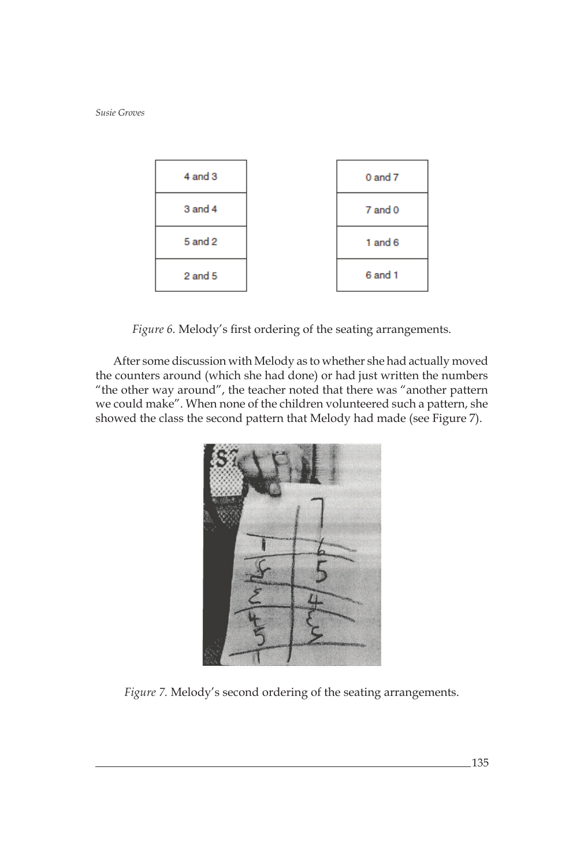

*Figure 6.* Melody's first ordering of the seating arrangements.

After some discussion with Melody as to whether she had actually moved the counters around (which she had done) or had just written the numbers "the other way around", the teacher noted that there was "another pattern we could make". When none of the children volunteered such a pattern, she showed the class the second pattern that Melody had made (see Figure 7).



*Figure 7.* Melody's second ordering of the seating arrangements.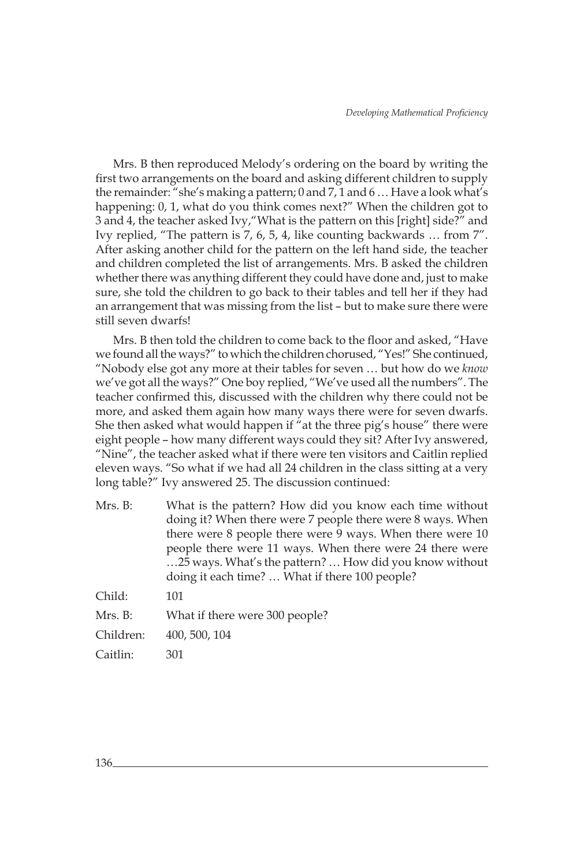Mrs. B then reproduced Melody's ordering on the board by writing the first two arrangements on the board and asking different children to supply the remainder: "she's making a pattern; 0 and 7, 1 and 6 … Have a look what's happening: 0, 1, what do you think comes next?" When the children got to 3 and 4, the teacher asked Ivy,"What is the pattern on this [right] side?" and Ivy replied, "The pattern is 7, 6, 5, 4, like counting backwards … from 7". After asking another child for the pattern on the left hand side, the teacher and children completed the list of arrangements. Mrs. B asked the children whether there was anything different they could have done and, just to make sure, she told the children to go back to their tables and tell her if they had an arrangement that was missing from the list – but to make sure there were still seven dwarfs!

Mrs. B then told the children to come back to the floor and asked, "Have we found all the ways?" to which the children chorused, "Yes!" She continued, "Nobody else got any more at their tables for seven … but how do we *know* we've got all the ways?" One boy replied, "We've used all the numbers". The teacher confirmed this, discussed with the children why there could not be more, and asked them again how many ways there were for seven dwarfs. She then asked what would happen if "at the three pig's house" there were eight people – how many different ways could they sit? After Ivy answered, "Nine", the teacher asked what if there were ten visitors and Caitlin replied eleven ways. "So what if we had all 24 children in the class sitting at a very long table?" Ivy answered 25. The discussion continued:

Mrs. B: What is the pattern? How did you know each time without doing it? When there were 7 people there were 8 ways. When there were 8 people there were 9 ways. When there were 10 people there were 11 ways. When there were 24 there were …25 ways. What's the pattern? … How did you know without doing it each time? … What if there 100 people? Child: 101

| Mrs. B:<br>Children:<br>400, 500, 104<br>Caitlin:<br>301 | $\sim$ | .                              |
|----------------------------------------------------------|--------|--------------------------------|
|                                                          |        | What if there were 300 people? |
|                                                          |        |                                |
|                                                          |        |                                |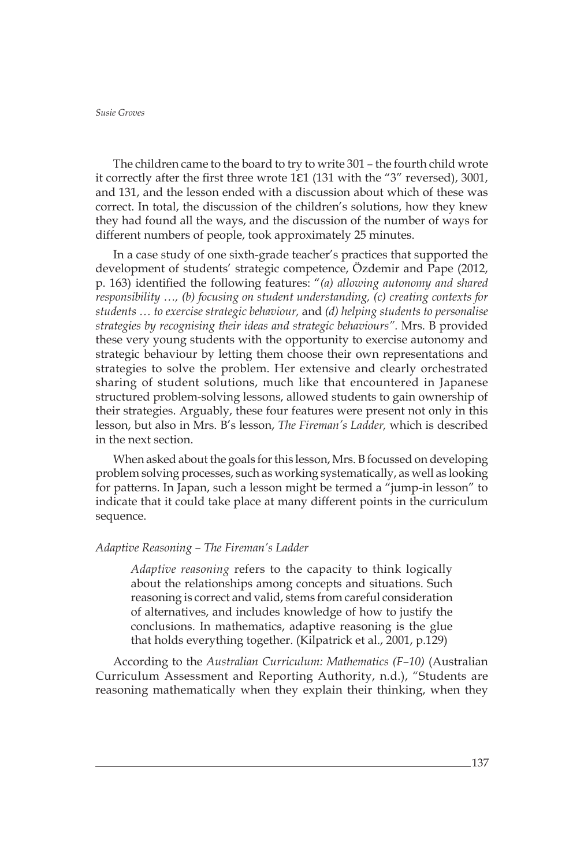The children came to the board to try to write 301 – the fourth child wrote it correctly after the first three wrote 1ε1 (131 with the "3" reversed), 3001, and 131, and the lesson ended with a discussion about which of these was correct. In total, the discussion of the children's solutions, how they knew they had found all the ways, and the discussion of the number of ways for different numbers of people, took approximately 25 minutes.

In a case study of one sixth-grade teacher's practices that supported the development of students' strategic competence, Özdemir and Pape (2012, p. 163) identified the following features: "*(a) allowing autonomy and shared responsibility …, (b) focusing on student understanding, (c) creating contexts for students … to exercise strategic behaviour,* and *(d) helping students to personalise strategies by recognising their ideas and strategic behaviours".* Mrs. B provided these very young students with the opportunity to exercise autonomy and strategic behaviour by letting them choose their own representations and strategies to solve the problem. Her extensive and clearly orchestrated sharing of student solutions, much like that encountered in Japanese structured problem-solving lessons, allowed students to gain ownership of their strategies. Arguably, these four features were present not only in this lesson, but also in Mrs. B's lesson, *The Fireman's Ladder,* which is described in the next section.

When asked about the goals for this lesson, Mrs. B focussed on developing problem solving processes, such as working systematically, as well as looking for patterns. In Japan, such a lesson might be termed a "jump-in lesson" to indicate that it could take place at many different points in the curriculum sequence.

## *Adaptive Reasoning – The Fireman's Ladder*

*Adaptive reasoning* refers to the capacity to think logically about the relationships among concepts and situations. Such reasoning is correct and valid, stems from careful consideration of alternatives, and includes knowledge of how to justify the conclusions. In mathematics, adaptive reasoning is the glue that holds everything together. (Kilpatrick et al., 2001, p.129)

According to the *Australian Curriculum: Mathematics (F–10)* (Australian Curriculum Assessment and Reporting Authority, n.d.), "Students are reasoning mathematically when they explain their thinking, when they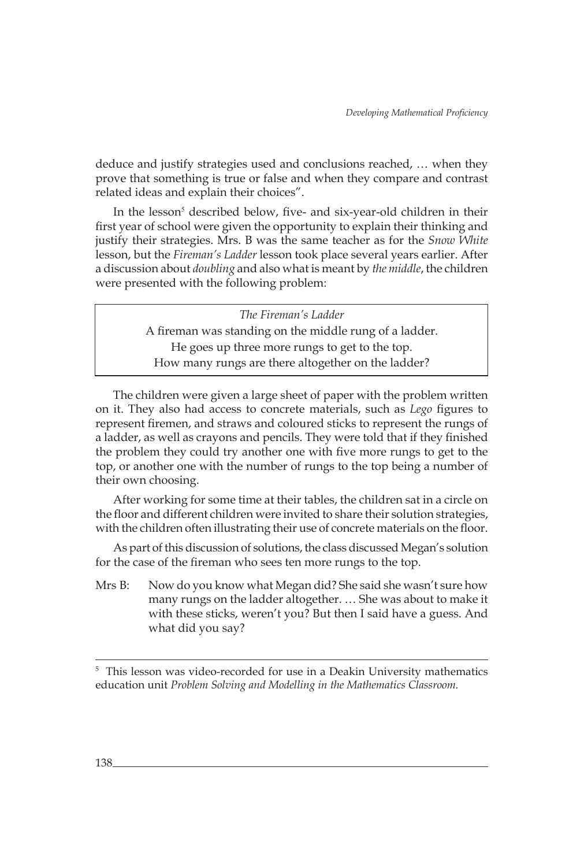deduce and justify strategies used and conclusions reached, … when they prove that something is true or false and when they compare and contrast related ideas and explain their choices".

In the lesson<sup>5</sup> described below, five- and six-year-old children in their first year of school were given the opportunity to explain their thinking and justify their strategies. Mrs. B was the same teacher as for the *Snow White* lesson, but the *Fireman's Ladder* lesson took place several years earlier. After a discussion about *doubling* and also what is meant by *the middle*, the children were presented with the following problem:

> *The Fireman's Ladder* A fireman was standing on the middle rung of a ladder. He goes up three more rungs to get to the top. How many rungs are there altogether on the ladder?

The children were given a large sheet of paper with the problem written on it. They also had access to concrete materials, such as *Lego* figures to represent firemen, and straws and coloured sticks to represent the rungs of a ladder, as well as crayons and pencils. They were told that if they finished the problem they could try another one with five more rungs to get to the top, or another one with the number of rungs to the top being a number of their own choosing.

After working for some time at their tables, the children sat in a circle on the floor and different children were invited to share their solution strategies, with the children often illustrating their use of concrete materials on the floor.

As part of this discussion of solutions, the class discussed Megan's solution for the case of the fireman who sees ten more rungs to the top.

Mrs B: Now do you know what Megan did? She said she wasn't sure how many rungs on the ladder altogether. … She was about to make it with these sticks, weren't you? But then I said have a guess. And what did you say?

<sup>5</sup> This lesson was video-recorded for use in a Deakin University mathematics education unit *Problem Solving and Modelling in the Mathematics Classroom.*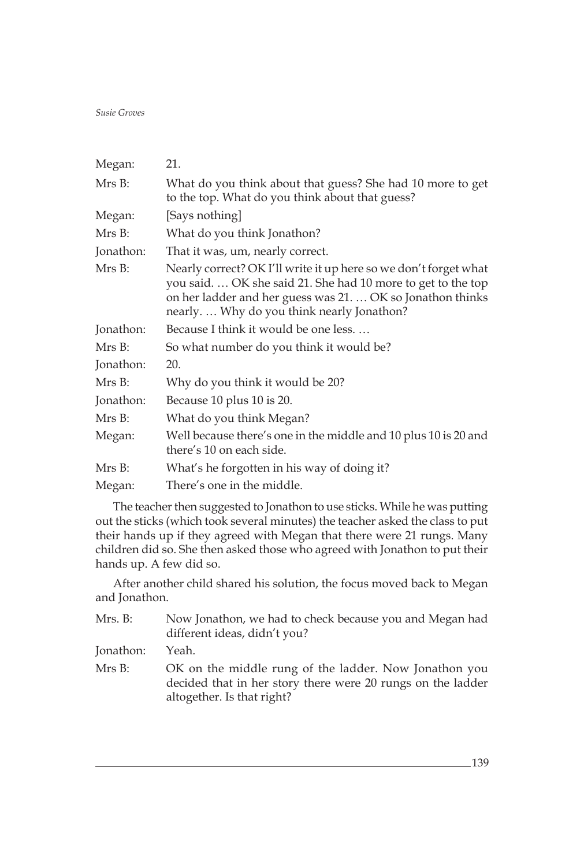| Megan:    | 21.                                                                                                                                                                                                                                          |
|-----------|----------------------------------------------------------------------------------------------------------------------------------------------------------------------------------------------------------------------------------------------|
| Mrs B:    | What do you think about that guess? She had 10 more to get<br>to the top. What do you think about that guess?                                                                                                                                |
| Megan:    | [Says nothing]                                                                                                                                                                                                                               |
| Mrs B:    | What do you think Jonathon?                                                                                                                                                                                                                  |
| Jonathon: | That it was, um, nearly correct.                                                                                                                                                                                                             |
| Mrs B:    | Nearly correct? OK I'll write it up here so we don't forget what<br>you said.  OK she said 21. She had 10 more to get to the top<br>on her ladder and her guess was 21.  OK so Jonathon thinks<br>nearly.  Why do you think nearly Jonathon? |
| Jonathon: | Because I think it would be one less.                                                                                                                                                                                                        |
| Mrs B:    | So what number do you think it would be?                                                                                                                                                                                                     |
| Jonathon: | 20.                                                                                                                                                                                                                                          |
| Mrs B:    | Why do you think it would be 20?                                                                                                                                                                                                             |
| Jonathon: | Because 10 plus 10 is 20.                                                                                                                                                                                                                    |
| Mrs B:    | What do you think Megan?                                                                                                                                                                                                                     |
| Megan:    | Well because there's one in the middle and 10 plus 10 is 20 and<br>there's 10 on each side.                                                                                                                                                  |
| Mrs B:    | What's he forgotten in his way of doing it?                                                                                                                                                                                                  |
| Megan:    | There's one in the middle.                                                                                                                                                                                                                   |

The teacher then suggested to Jonathon to use sticks. While he was putting out the sticks (which took several minutes) the teacher asked the class to put their hands up if they agreed with Megan that there were 21 rungs. Many children did so. She then asked those who agreed with Jonathon to put their hands up. A few did so.

After another child shared his solution, the focus moved back to Megan and Jonathon.

| Mrs. B:   | Now Jonathon, we had to check because you and Megan had<br>different ideas, didn't you?                                                            |
|-----------|----------------------------------------------------------------------------------------------------------------------------------------------------|
| Jonathon: | Yeah.                                                                                                                                              |
| Mrs B:    | OK on the middle rung of the ladder. Now Jonathon you<br>decided that in her story there were 20 rungs on the ladder<br>altogether. Is that right? |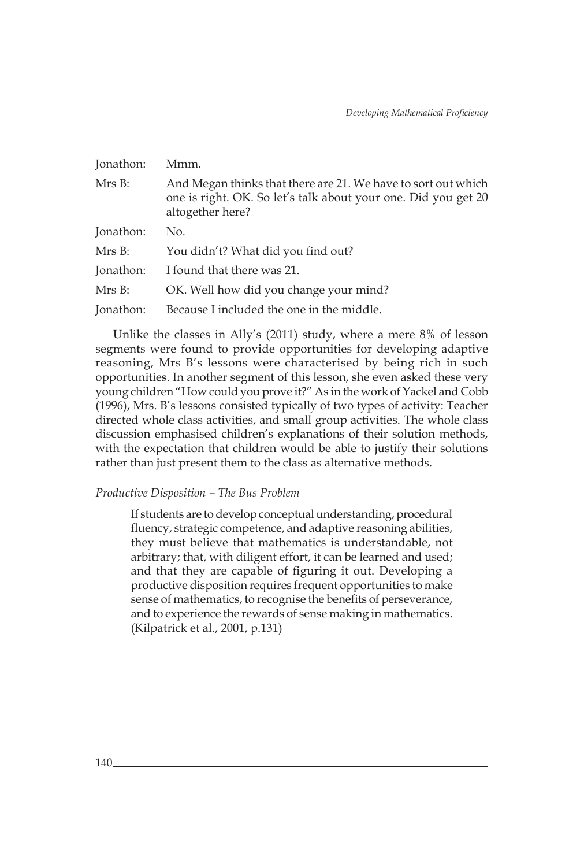| Jonathon: | Mmm.                                                                                                                                                |
|-----------|-----------------------------------------------------------------------------------------------------------------------------------------------------|
| Mrs B:    | And Megan thinks that there are 21. We have to sort out which<br>one is right. OK. So let's talk about your one. Did you get 20<br>altogether here? |
| Jonathon: | No.                                                                                                                                                 |
| Mrs B:    | You didn't? What did you find out?                                                                                                                  |
| Jonathon: | I found that there was 21.                                                                                                                          |
| Mrs B:    | OK. Well how did you change your mind?                                                                                                              |
| Jonathon: | Because I included the one in the middle.                                                                                                           |

Unlike the classes in Ally's (2011) study, where a mere 8% of lesson segments were found to provide opportunities for developing adaptive reasoning, Mrs B's lessons were characterised by being rich in such opportunities. In another segment of this lesson, she even asked these very young children "How could you prove it?" As in the work of Yackel and Cobb (1996), Mrs. B's lessons consisted typically of two types of activity: Teacher directed whole class activities, and small group activities. The whole class discussion emphasised children's explanations of their solution methods, with the expectation that children would be able to justify their solutions rather than just present them to the class as alternative methods.

# *Productive Disposition – The Bus Problem*

If students are to develop conceptual understanding, procedural fluency, strategic competence, and adaptive reasoning abilities, they must believe that mathematics is understandable, not arbitrary; that, with diligent effort, it can be learned and used; and that they are capable of figuring it out. Developing a productive disposition requires frequent opportunities to make sense of mathematics, to recognise the benefits of perseverance, and to experience the rewards of sense making in mathematics. (Kilpatrick et al., 2001, p.131)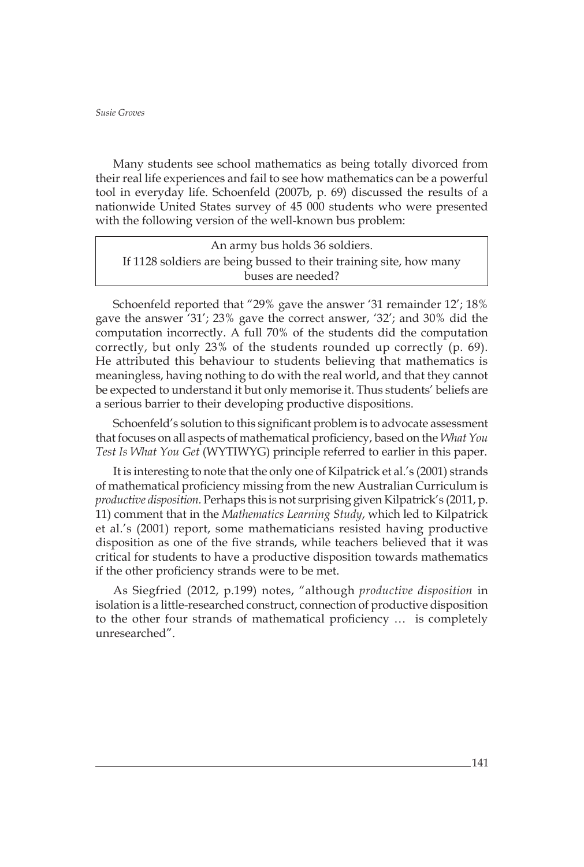Many students see school mathematics as being totally divorced from their real life experiences and fail to see how mathematics can be a powerful tool in everyday life. Schoenfeld (2007b, p. 69) discussed the results of a nationwide United States survey of 45 000 students who were presented with the following version of the well-known bus problem:

An army bus holds 36 soldiers. If 1128 soldiers are being bussed to their training site, how many buses are needed?

Schoenfeld reported that "29% gave the answer '31 remainder 12'; 18% gave the answer '31'; 23% gave the correct answer, '32'; and 30% did the computation incorrectly. A full 70% of the students did the computation correctly, but only 23% of the students rounded up correctly (p. 69). He attributed this behaviour to students believing that mathematics is meaningless, having nothing to do with the real world, and that they cannot be expected to understand it but only memorise it. Thus students' beliefs are a serious barrier to their developing productive dispositions.

Schoenfeld's solution to this significant problem is to advocate assessment that focuses on all aspects of mathematical proficiency, based on the *What You Test Is What You Get* (WYTIWYG) principle referred to earlier in this paper.

It is interesting to note that the only one of Kilpatrick et al.'s (2001) strands of mathematical proficiency missing from the new Australian Curriculum is *productive disposition.* Perhaps this is not surprising given Kilpatrick's (2011, p. 11) comment that in the *Mathematics Learning Study*, which led to Kilpatrick et al.'s (2001) report, some mathematicians resisted having productive disposition as one of the five strands, while teachers believed that it was critical for students to have a productive disposition towards mathematics if the other proficiency strands were to be met.

As Siegfried (2012, p.199) notes, "although *productive disposition* in isolation is a little-researched construct, connection of productive disposition to the other four strands of mathematical proficiency … is completely unresearched".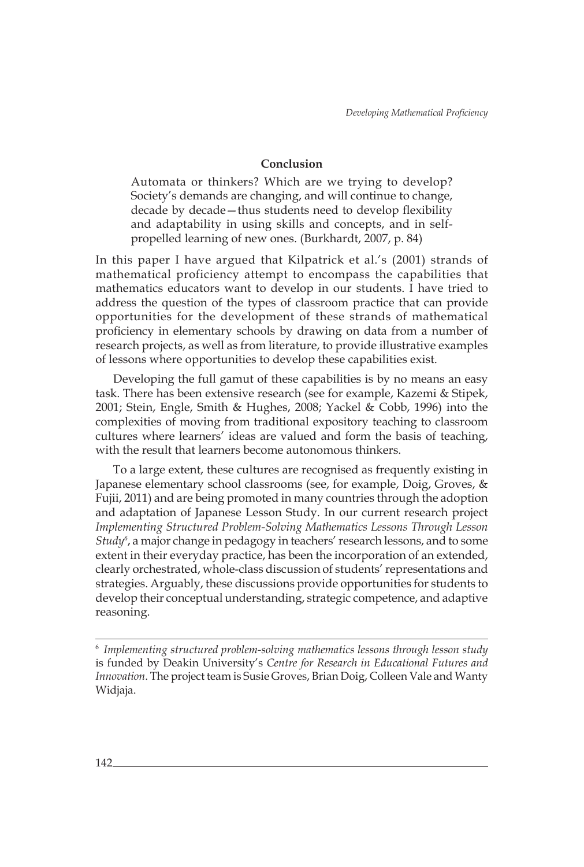# **Conclusion**

Automata or thinkers? Which are we trying to develop? Society's demands are changing, and will continue to change, decade by decade—thus students need to develop flexibility and adaptability in using skills and concepts, and in selfpropelled learning of new ones. (Burkhardt, 2007, p. 84)

In this paper I have argued that Kilpatrick et al.'s (2001) strands of mathematical proficiency attempt to encompass the capabilities that mathematics educators want to develop in our students. I have tried to address the question of the types of classroom practice that can provide opportunities for the development of these strands of mathematical proficiency in elementary schools by drawing on data from a number of research projects, as well as from literature, to provide illustrative examples of lessons where opportunities to develop these capabilities exist.

Developing the full gamut of these capabilities is by no means an easy task. There has been extensive research (see for example, Kazemi & Stipek, 2001; Stein, Engle, Smith & Hughes, 2008; Yackel & Cobb, 1996) into the complexities of moving from traditional expository teaching to classroom cultures where learners' ideas are valued and form the basis of teaching, with the result that learners become autonomous thinkers.

To a large extent, these cultures are recognised as frequently existing in Japanese elementary school classrooms (see, for example, Doig, Groves, & Fujii, 2011) and are being promoted in many countries through the adoption and adaptation of Japanese Lesson Study. In our current research project *Implementing Structured Problem-Solving Mathematics Lessons Through Lesson Study<sup>6</sup>* , a major change in pedagogy in teachers' research lessons, and to some extent in their everyday practice, has been the incorporation of an extended, clearly orchestrated, whole-class discussion of students' representations and strategies. Arguably, these discussions provide opportunities for students to develop their conceptual understanding, strategic competence, and adaptive reasoning.

<sup>6</sup>*Implementing structured problem-solving mathematics lessons through lesson study* is funded by Deakin University's *Centre for Research in Educational Futures and Innovation*. The project team is Susie Groves, Brian Doig, Colleen Vale and Wanty Widjaja.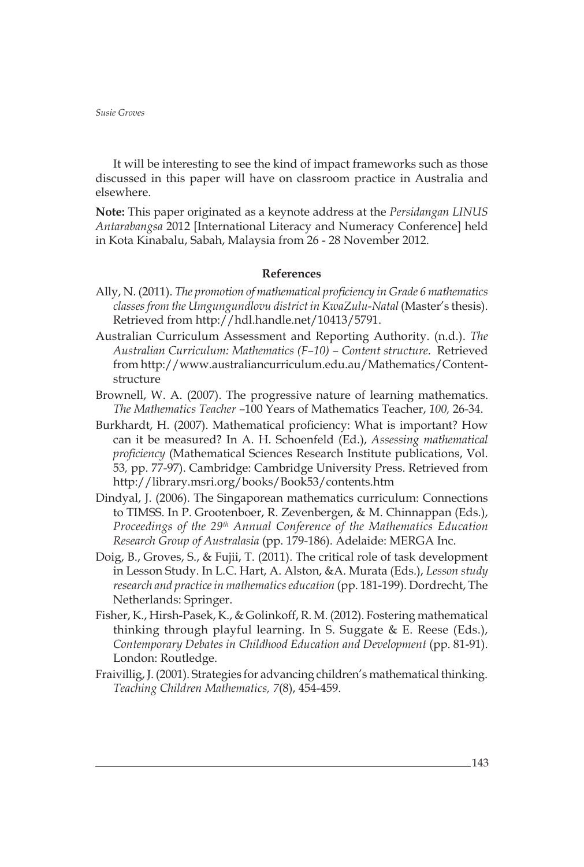It will be interesting to see the kind of impact frameworks such as those discussed in this paper will have on classroom practice in Australia and elsewhere.

**Note:** This paper originated as a keynote address at the *Persidangan LINUS Antarabangsa* 2012 [International Literacy and Numeracy Conference] held in Kota Kinabalu, Sabah, Malaysia from 26 - 28 November 2012.

# **References**

- Ally, N. (2011). *The promotion of mathematical proficiency in Grade 6 mathematics classes from the Umgungundlovu district in KwaZulu-Natal* (Master's thesis). Retrieved from http://hdl.handle.net/10413/5791.
- Australian Curriculum Assessment and Reporting Authority. (n.d.). *The Australian Curriculum: Mathematics (F–10) – Content structure*. Retrieved from http://www.australiancurriculum.edu.au/Mathematics/Contentstructure
- Brownell, W. A. (2007). The progressive nature of learning mathematics. *The Mathematics Teacher –*100 Years of Mathematics Teacher, *100,* 26*-*34.
- Burkhardt, H. (2007). Mathematical proficiency: What is important? How can it be measured? In A. H. Schoenfeld (Ed.), *Assessing mathematical proficiency* (Mathematical Sciences Research Institute publications, Vol. 53*,* pp. 77-97). Cambridge: Cambridge University Press. Retrieved from http://library.msri.org/books/Book53/contents.htm
- Dindyal, J. (2006). The Singaporean mathematics curriculum: Connections to TIMSS. In P. Grootenboer, R. Zevenbergen, & M. Chinnappan (Eds.), *Proceedings of the 29th Annual Conference of the Mathematics Education Research Group of Australasia* (pp. 179-186). Adelaide: MERGA Inc.
- Doig, B., Groves, S., & Fujii, T. (2011). The critical role of task development in Lesson Study. In L.C. Hart, A. Alston, &A. Murata (Eds.), *Lesson study research and practice in mathematics education* (pp. 181-199). Dordrecht, The Netherlands: Springer.
- Fisher, K., Hirsh-Pasek, K., & Golinkoff, R. M. (2012). Fostering mathematical thinking through playful learning. In S. Suggate & E. Reese (Eds.), *Contemporary Debates in Childhood Education and Development* (pp. 81-91). London: Routledge.
- Fraivillig, J. (2001). Strategies for advancing children's mathematical thinking. *Teaching Children Mathematics, 7*(8), 454-459.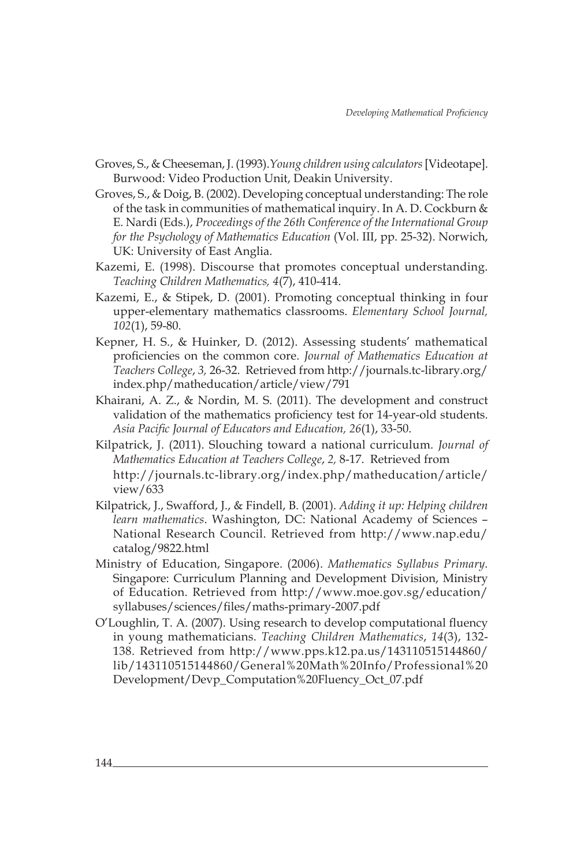- Groves, S., & Cheeseman, J. (1993).*Young children using calculators* [Videotape]. Burwood: Video Production Unit, Deakin University.
- Groves, S., & Doig, B. (2002). Developing conceptual understanding: The role of the task in communities of mathematical inquiry. In A. D. Cockburn & E. Nardi (Eds.), *Proceedings of the 26th Conference of the International Group for the Psychology of Mathematics Education* (Vol. III, pp. 25-32). Norwich, UK: University of East Anglia.
- Kazemi, E. (1998). Discourse that promotes conceptual understanding. *Teaching Children Mathematics, 4*(7), 410-414.
- Kazemi, E., & Stipek, D. (2001). Promoting conceptual thinking in four upper-elementary mathematics classrooms. *Elementary School Journal, 102*(1), 59-80.
- Kepner, H. S., & Huinker, D. (2012). Assessing students' mathematical proficiencies on the common core. *Journal of Mathematics Education at Teachers College*, *3,* 26-32. Retrieved from http://journals.tc-library.org/ index.php/matheducation/article/view/791
- Khairani, A. Z., & Nordin, M. S. (2011). The development and construct validation of the mathematics proficiency test for 14-year-old students. *Asia Pacific Journal of Educators and Education, 26*(1), 33-50.
- Kilpatrick, J. (2011). Slouching toward a national curriculum. *Journal of Mathematics Education at Teachers College*, *2,* 8-17. Retrieved from http://journals.tc-library.org/index.php/matheducation/article/ view/633
- Kilpatrick, J., Swafford, J., & Findell, B. (2001). *Adding it up: Helping children learn mathematics*. Washington, DC: National Academy of Sciences – National Research Council. Retrieved from http://www.nap.edu/ catalog/9822.html
- Ministry of Education, Singapore. (2006). *Mathematics Syllabus Primary.*  Singapore: Curriculum Planning and Development Division, Ministry of Education. Retrieved from http://www.moe.gov.sg/education/ syllabuses/sciences/files/maths-primary-2007.pdf
- O'Loughlin, T. A. (2007). Using research to develop computational fluency in young mathematicians. *Teaching Children Mathematics*, *14*(3), 132- 138. Retrieved from http://www.pps.k12.pa.us/143110515144860/ lib/143110515144860/General%20Math%20Info/Professional%20 Development/Devp\_Computation%20Fluency\_Oct\_07.pdf